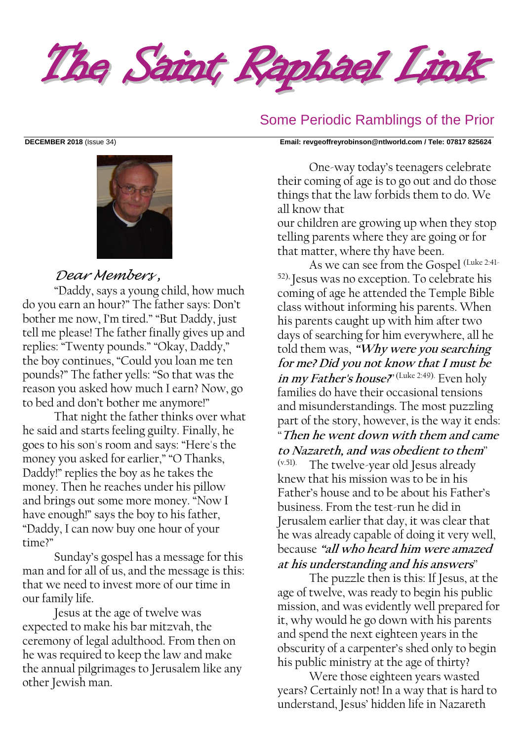



### *Dear Members ,*

"Daddy, says a young child, how much do you earn an hour?" The father says: Don't bother me now, I'm tired." "But Daddy, just tell me please! The father finally gives up and replies: "Twenty pounds." "Okay, Daddy," the boy continues, "Could you loan me ten pounds?" The father yells: "So that was the reason you asked how much I earn? Now, go to bed and don't bother me anymore!"

That night the father thinks over what he said and starts feeling guilty. Finally, he goes to his son's room and says: "Here's the money you asked for earlier," "O Thanks, Daddy!" replies the boy as he takes the money. Then he reaches under his pillow and brings out some more money. "Now I have enough!" says the boy to his father, "Daddy, I can now buy one hour of your time?"

Sunday's gospel has a message for this man and for all of us, and the message is this: that we need to invest more of our time in our family life.

Jesus at the age of twelve was expected to make his bar mitzvah, the ceremony of legal adulthood. From then on he was required to keep the law and make the annual pilgrimages to Jerusalem like any other Jewish man.

#### Some Periodic Ramblings of the Prior

#### **DECEMBER 2018** (Issue 34) **Email: [revgeoffreyrobinson@ntlworld.com](mailto:revgeoffreyrobinson@ntlworld.com) / Tele: 07817 825624**

One-way today's teenagers celebrate their coming of age is to go out and do those things that the law forbids them to do. We all know that

our children are growing up when they stop telling parents where they are going or for that matter, where thy have been.

As we can see from the Gospel (Luke 2:41- 52), Jesus was no exception. To celebrate his coming of age he attended the Temple Bible class without informing his parents. When his parents caught up with him after two days of searching for him everywhere, all he told them was, **"Why were you searching for me? Did you not know that I must be in my Father's house?***"* (Luke 2:49). Even holy families do have their occasional tensions and misunderstandings. The most puzzling part of the story, however, is the way it ends: *"***Then he went down with them and came to Nazareth, and was obedient to them***"* (v.51). The twelve-year old Jesus already knew that his mission was to be in his Father's house and to be about his Father's business. From the test-run he did in Jerusalem earlier that day, it was clear that he was already capable of doing it very well, because **"all who heard him were amazed** 

**at his understanding and his answers***"*

The puzzle then is this: If Jesus, at the age of twelve, was ready to begin his public mission, and was evidently well prepared for it, why would he go down with his parents and spend the next eighteen years in the obscurity of a carpenter's shed only to begin his public ministry at the age of thirty?

Were those eighteen years wasted years? Certainly not! In a way that is hard to understand, Jesus' hidden life in Nazareth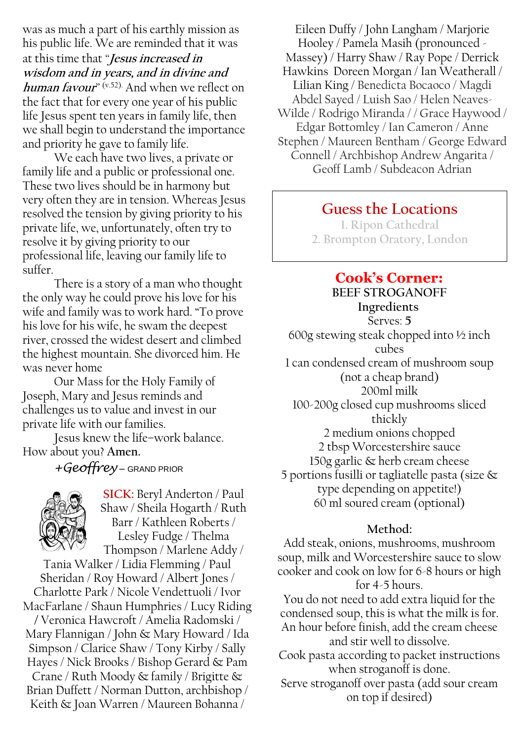was as much a part of his earthly mission as his public life. We are reminded that it was at this time that *"***Jesus increased in wisdom and in years, and in divine and human favour***"* (v.52). And when we reflect on the fact that for every one year of his public life Jesus spent ten years in family life, then we shall begin to understand the importance and priority he gave to family life.

We each have two lives, a private or family life and a public or professional one. These two lives should be in harmony but very often they are in tension. Whereas Jesus resolved the tension by giving priority to his private life, we, unfortunately, often try to resolve it by giving priority to our professional life, leaving our family life to suffer.

There is a story of a man who thought the only way he could prove his love for his wife and family was to work hard. "To prove his love for his wife, he swam the deepest river, crossed the widest desert and climbed the highest mountain. She divorced him. He was never home

Our Mass for the Holy Family of Joseph, Mary and Jesus reminds and challenges us to value and invest in our private life with our families.

Jesus knew the life–work balance. How about you? **Amen.**

*+Geoffrey* – GRAND PRIOR



**SICK:** Beryl Anderton / Paul Shaw / Sheila Hogarth / Ruth Barr / Kathleen Roberts / Lesley Fudge / Thelma Thompson / Marlene Addy /

Tania Walker / Lidia Flemming / Paul Sheridan / Roy Howard / Albert Jones / Charlotte Park / Nicole Vendettuoli / Ivor MacFarlane / Shaun Humphries / Lucy Riding **/** Veronica Hawcroft / Amelia Radomski / Mary Flannigan / John & Mary Howard / Ida Simpson / Clarice Shaw / Tony Kirby / Sally Hayes / Nick Brooks / Bishop Gerard & Pam Crane / Ruth Moody & family / Brigitte & Brian Duffett / Norman Dutton, archbishop / Keith & Joan Warren / Maureen Bohanna /

Eileen Duffy / John Langham / Marjorie Hooley / Pamela Masih (pronounced - Massey) / Harry Shaw / Ray Pope / Derrick Hawkins Doreen Morgan / Ian Weatherall / Lilian King / Benedicta Bocaoco / Magdi Abdel Sayed / Luish Sao / Helen Neaves-Wilde / Rodrigo Miranda / / Grace Haywood / Edgar Bottomley / Ian Cameron / Anne Stephen / Maureen Bentham / George Edward Connell / Archbishop Andrew Angarita / Geoff Lamb / Subdeacon Adrian

# **Guess the Locations**

**1. Ripon Cathedral 2. Brompton Oratory, London**

## **Cook's Corner:**

**BEEF STROGANOFF Ingredients** Serves: **5** 600g stewing steak chopped into ½ inch cubes 1 can condensed cream of mushroom soup (not a cheap brand) 200ml milk 100-200g closed cup mushrooms sliced thickly 2 medium onions chopped 2 tbsp Worcestershire sauce 150g garlic & herb cream cheese 5 portions fusilli or tagliatelle pasta (size & type depending on appetite!) 60 ml soured cream (optional)

#### **Method:**

Add steak, onions, mushrooms, mushroom soup, milk and Worcestershire sauce to slow cooker and cook on low for 6-8 hours or high for 4-5 hours. You do not need to add extra liquid for the condensed soup, this is what the milk is for. An hour before finish, add the cream cheese and stir well to dissolve. Cook pasta according to packet instructions when stroganoff is done.

Serve stroganoff over pasta (add sour cream on top if desired)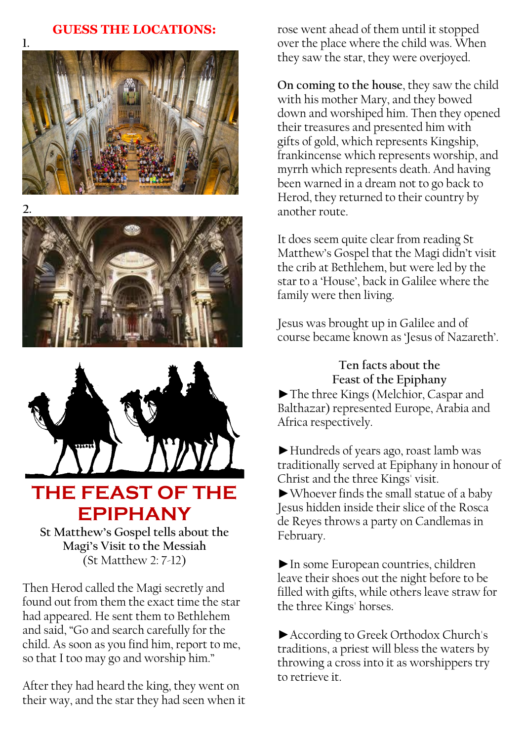### **GUESS THE LOCATIONS:**









# **THE FEAST OF THE EPIPHANY**

**St Matthew's Gospel tells about the Magi's Visit to the Messiah** (St Matthew 2: 7-12)

Then Herod called the Magi secretly and found out from them the exact time the star had appeared. He sent them to Bethlehem and said, "Go and search carefully for the child. As soon as you find him, report to me, so that I too may go and worship him."

After they had heard the king, they went on their way, and the star they had seen when it

rose went ahead of them until it stopped over the place where the child was. When they saw the star, they were overjoyed.

**On coming to the house**, they saw the child with his mother Mary, and they bowed down and worshiped him. Then they opened their treasures and presented him with gifts of gold, which represents Kingship, frankincense which represents worship, and myrrh which represents death. And having been warned in a dream not to go back to Herod, they returned to their country by another route.

It does seem quite clear from reading St Matthew's Gospel that the Magi didn't visit the crib at Bethlehem, but were led by the star to a 'House', back in Galilee where the family were then living.

Jesus was brought up in Galilee and of course became known as 'Jesus of Nazareth'.

> **Ten facts about the Feast of the Epiphany**

►The three Kings (Melchior, Caspar and Balthazar) represented Europe, Arabia and Africa respectively.

►Hundreds of years ago, roast lamb was traditionally served at Epiphany in honour of Christ and the three Kings' visit. ►Whoever finds the small statue of a baby Jesus hidden inside their slice of the Rosca de Reyes throws a party on Candlemas in February.

►In some European countries, children leave their shoes out the night before to be filled with gifts, while others leave straw for the three Kings' horses.

►According to Greek Orthodox Church's traditions, a priest will bless the waters by throwing a cross into it as worshippers try to retrieve it.